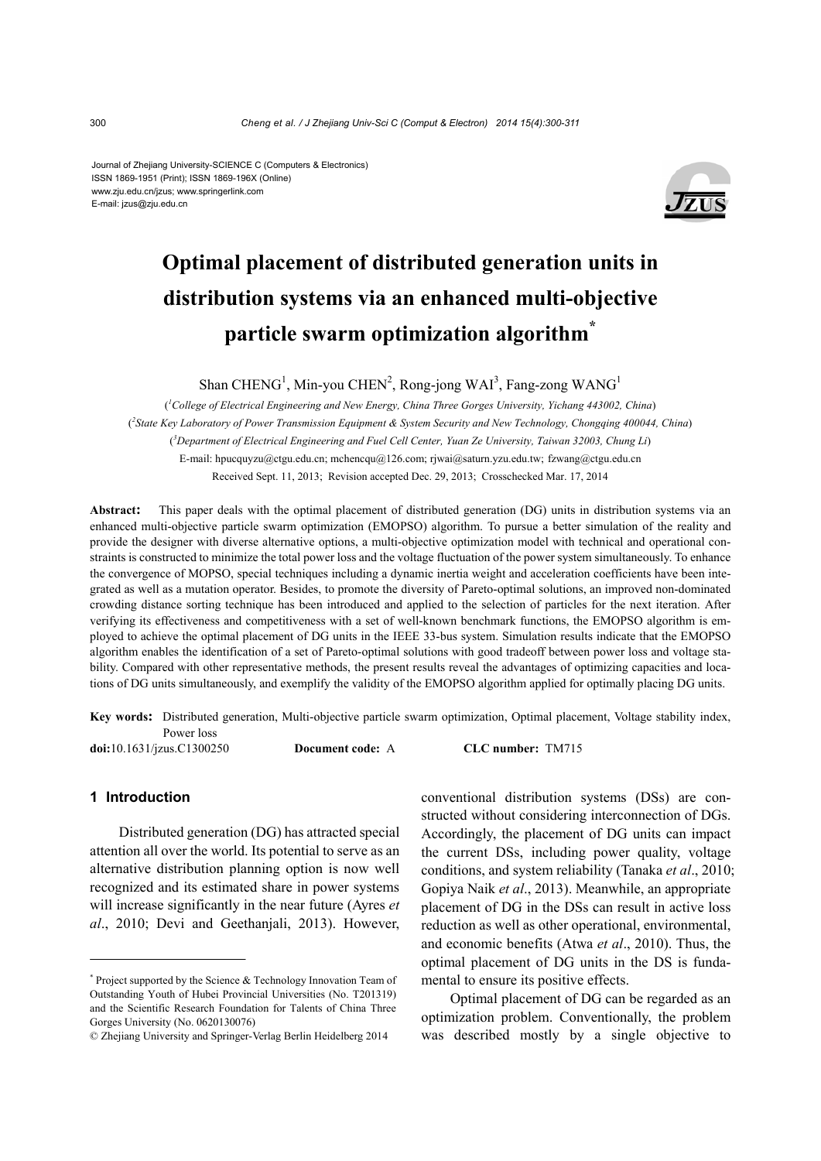Journal of Zhejiang University-SCIENCE C (Computers & Electronics) ISSN 1869-1951 (Print); ISSN 1869-196X (Online) www.zju.edu.cn/jzus; www.springerlink.com E-mail: jzus@zju.edu.cn



# **Optimal placement of distributed generation units in distribution systems via an enhanced multi-objective particle swarm optimization algorithm\***

Shan CHENG<sup>1</sup>, Min-you CHEN<sup>2</sup>, Rong-jong WAI<sup>3</sup>, Fang-zong WANG<sup>1</sup>

( *1 College of Electrical Engineering and New Energy, China Three Gorges University, Yichang 443002, China*) ( *2 State Key Laboratory of Power Transmission Equipment & System Security and New Technology, Chongqing 400044, China*) ( *3 Department of Electrical Engineering and Fuel Cell Center, Yuan Ze University, Taiwan 32003, Chung Li*) E-mail: hpucquyzu@ctgu.edu.cn; mchencqu@126.com; rjwai@saturn.yzu.edu.tw; fzwang@ctgu.edu.cn Received Sept. 11, 2013; Revision accepted Dec. 29, 2013; Crosschecked Mar. 17, 2014

**Abstract:** This paper deals with the optimal placement of distributed generation (DG) units in distribution systems via an enhanced multi-objective particle swarm optimization (EMOPSO) algorithm. To pursue a better simulation of the reality and provide the designer with diverse alternative options, a multi-objective optimization model with technical and operational constraints is constructed to minimize the total power loss and the voltage fluctuation of the power system simultaneously. To enhance the convergence of MOPSO, special techniques including a dynamic inertia weight and acceleration coefficients have been integrated as well as a mutation operator. Besides, to promote the diversity of Pareto-optimal solutions, an improved non-dominated crowding distance sorting technique has been introduced and applied to the selection of particles for the next iteration. After verifying its effectiveness and competitiveness with a set of well-known benchmark functions, the EMOPSO algorithm is employed to achieve the optimal placement of DG units in the IEEE 33-bus system. Simulation results indicate that the EMOPSO algorithm enables the identification of a set of Pareto-optimal solutions with good tradeoff between power loss and voltage stability. Compared with other representative methods, the present results reveal the advantages of optimizing capacities and locations of DG units simultaneously, and exemplify the validity of the EMOPSO algorithm applied for optimally placing DG units.

**Key words:**Distributed generation, Multi-objective particle swarm optimization, Optimal placement, Voltage stability index, Power loss

**doi:**10.1631/jzus.C1300250 **Document code:** A **CLC number:** TM715

# **1 Introduction**

Distributed generation (DG) has attracted special attention all over the world. Its potential to serve as an alternative distribution planning option is now well recognized and its estimated share in power systems will increase significantly in the near future (Ayres *et al*., 2010; Devi and Geethanjali, 2013). However,

conventional distribution systems (DSs) are constructed without considering interconnection of DGs. Accordingly, the placement of DG units can impact the current DSs, including power quality, voltage conditions, and system reliability (Tanaka *et al*., 2010; Gopiya Naik *et al*., 2013). Meanwhile, an appropriate placement of DG in the DSs can result in active loss reduction as well as other operational, environmental, and economic benefits (Atwa *et al*., 2010). Thus, the optimal placement of DG units in the DS is fundamental to ensure its positive effects.

Optimal placement of DG can be regarded as an optimization problem. Conventionally, the problem was described mostly by a single objective to

<sup>\*</sup> Project supported by the Science & Technology Innovation Team of Outstanding Youth of Hubei Provincial Universities (No. T201319) and the Scientific Research Foundation for Talents of China Three Gorges University (No. 0620130076)

<sup>©</sup> Zhejiang University and Springer-Verlag Berlin Heidelberg 2014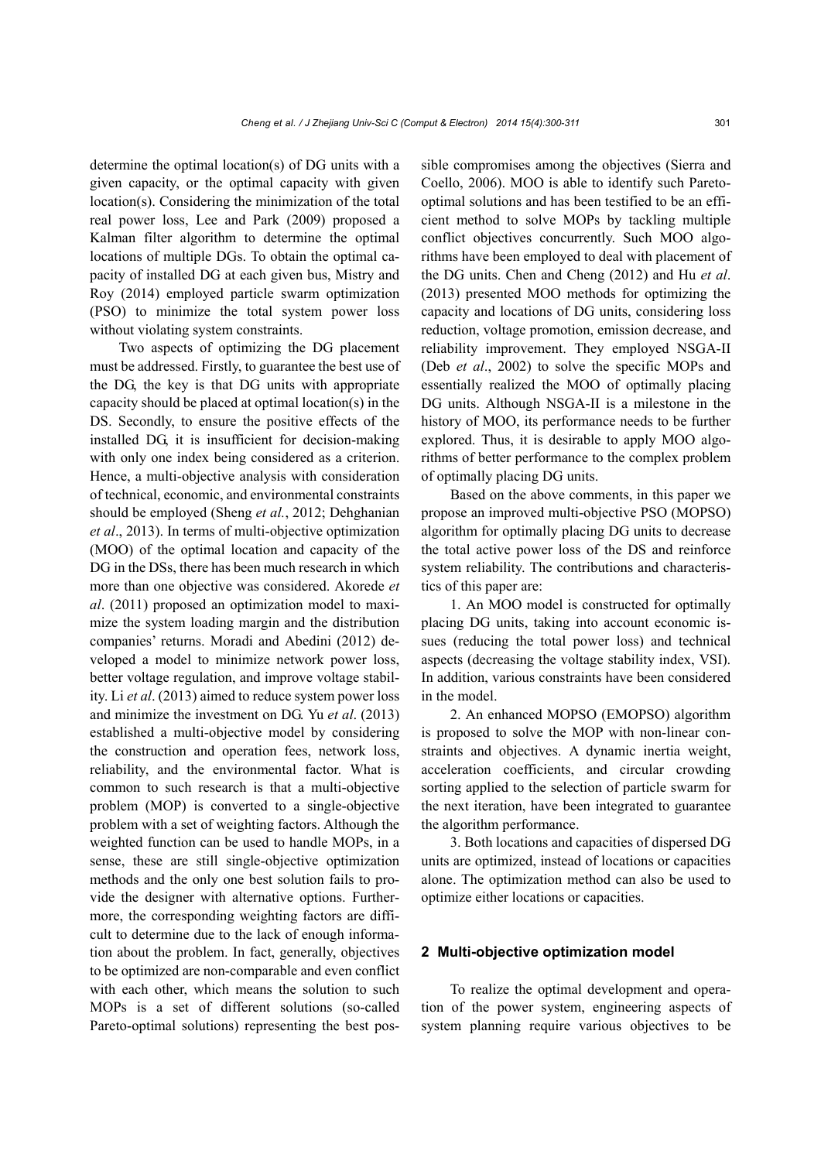determine the optimal location(s) of DG units with a given capacity, or the optimal capacity with given location(s). Considering the minimization of the total real power loss, Lee and Park (2009) proposed a Kalman filter algorithm to determine the optimal locations of multiple DGs. To obtain the optimal capacity of installed DG at each given bus, Mistry and Roy (2014) employed particle swarm optimization (PSO) to minimize the total system power loss without violating system constraints.

Two aspects of optimizing the DG placement must be addressed. Firstly, to guarantee the best use of the DG, the key is that DG units with appropriate capacity should be placed at optimal location(s) in the DS. Secondly, to ensure the positive effects of the installed DG, it is insufficient for decision-making with only one index being considered as a criterion. Hence, a multi-objective analysis with consideration of technical, economic, and environmental constraints should be employed (Sheng *et al.*, 2012; Dehghanian *et al*., 2013). In terms of multi-objective optimization (MOO) of the optimal location and capacity of the DG in the DSs, there has been much research in which more than one objective was considered. Akorede *et al*. (2011) proposed an optimization model to maximize the system loading margin and the distribution companies' returns. Moradi and Abedini (2012) developed a model to minimize network power loss, better voltage regulation, and improve voltage stability. Li *et al*. (2013) aimed to reduce system power loss and minimize the investment on DG. Yu *et al*. (2013) established a multi-objective model by considering the construction and operation fees, network loss, reliability, and the environmental factor. What is common to such research is that a multi-objective problem (MOP) is converted to a single-objective problem with a set of weighting factors. Although the weighted function can be used to handle MOPs, in a sense, these are still single-objective optimization methods and the only one best solution fails to provide the designer with alternative options. Furthermore, the corresponding weighting factors are difficult to determine due to the lack of enough information about the problem. In fact, generally, objectives to be optimized are non-comparable and even conflict with each other, which means the solution to such MOPs is a set of different solutions (so-called Pareto-optimal solutions) representing the best possible compromises among the objectives (Sierra and Coello, 2006). MOO is able to identify such Paretooptimal solutions and has been testified to be an efficient method to solve MOPs by tackling multiple conflict objectives concurrently. Such MOO algorithms have been employed to deal with placement of the DG units. Chen and Cheng (2012) and Hu *et al*. (2013) presented MOO methods for optimizing the capacity and locations of DG units, considering loss reduction, voltage promotion, emission decrease, and reliability improvement. They employed NSGA-II (Deb *et al*., 2002) to solve the specific MOPs and essentially realized the MOO of optimally placing DG units. Although NSGA-II is a milestone in the history of MOO, its performance needs to be further explored. Thus, it is desirable to apply MOO algorithms of better performance to the complex problem of optimally placing DG units.

Based on the above comments, in this paper we propose an improved multi-objective PSO (MOPSO) algorithm for optimally placing DG units to decrease the total active power loss of the DS and reinforce system reliability. The contributions and characteristics of this paper are:

1. An MOO model is constructed for optimally placing DG units, taking into account economic issues (reducing the total power loss) and technical aspects (decreasing the voltage stability index, VSI). In addition, various constraints have been considered in the model.

2. An enhanced MOPSO (EMOPSO) algorithm is proposed to solve the MOP with non-linear constraints and objectives. A dynamic inertia weight, acceleration coefficients, and circular crowding sorting applied to the selection of particle swarm for the next iteration, have been integrated to guarantee the algorithm performance.

3. Both locations and capacities of dispersed DG units are optimized, instead of locations or capacities alone. The optimization method can also be used to optimize either locations or capacities.

#### **2 Multi-objective optimization model**

To realize the optimal development and operation of the power system, engineering aspects of system planning require various objectives to be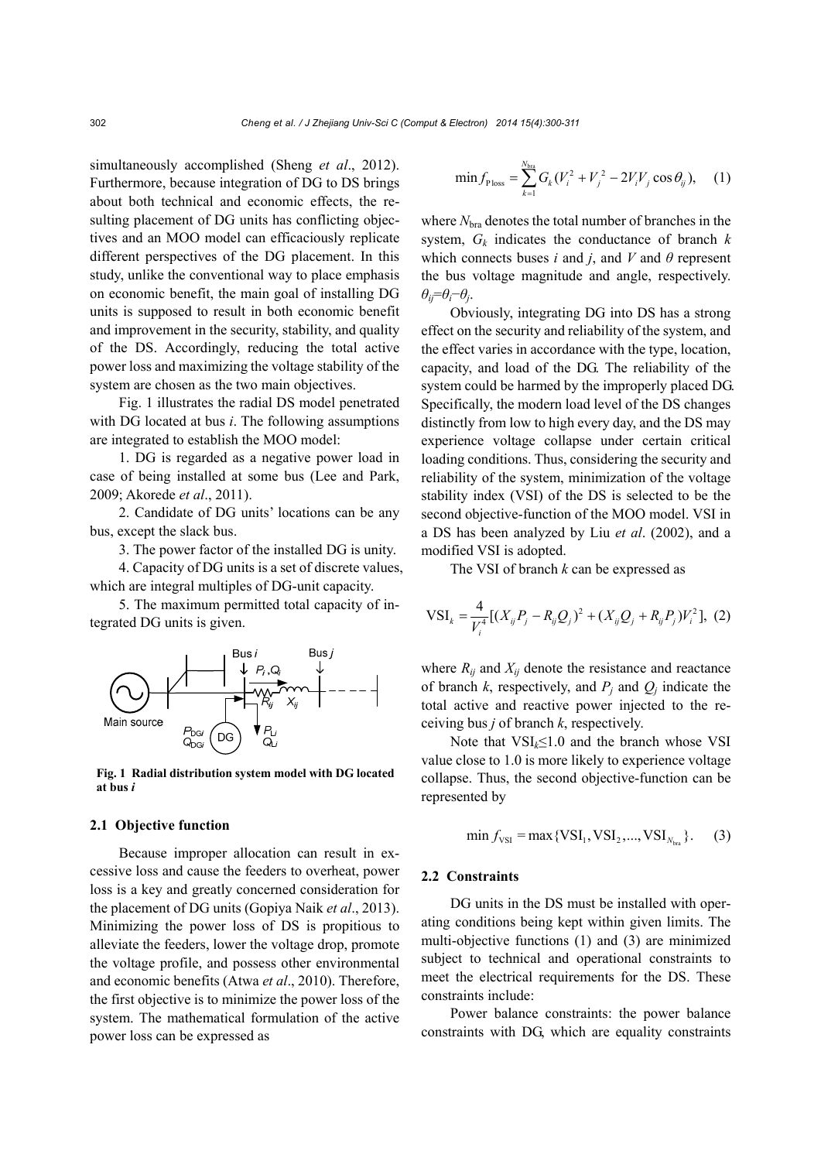simultaneously accomplished (Sheng *et al*., 2012). Furthermore, because integration of DG to DS brings about both technical and economic effects, the resulting placement of DG units has conflicting objectives and an MOO model can efficaciously replicate different perspectives of the DG placement. In this study, unlike the conventional way to place emphasis on economic benefit, the main goal of installing DG units is supposed to result in both economic benefit and improvement in the security, stability, and quality of the DS. Accordingly, reducing the total active power loss and maximizing the voltage stability of the system are chosen as the two main objectives.

Fig. 1 illustrates the radial DS model penetrated with DG located at bus *i*. The following assumptions are integrated to establish the MOO model:

1. DG is regarded as a negative power load in case of being installed at some bus (Lee and Park, 2009; Akorede *et al*., 2011).

2. Candidate of DG units' locations can be any bus, except the slack bus.

3. The power factor of the installed DG is unity.

4. Capacity of DG units is a set of discrete values, which are integral multiples of DG-unit capacity.

5. The maximum permitted total capacity of integrated DG units is given.



**Fig. 1 Radial distribution system model with DG located at bus** *i*

#### **2.1 Objective function**

Because improper allocation can result in excessive loss and cause the feeders to overheat, power loss is a key and greatly concerned consideration for the placement of DG units (Gopiya Naik *et al*., 2013). Minimizing the power loss of DS is propitious to alleviate the feeders, lower the voltage drop, promote the voltage profile, and possess other environmental and economic benefits (Atwa *et al*., 2010). Therefore, the first objective is to minimize the power loss of the system. The mathematical formulation of the active power loss can be expressed as

$$
\min f_{\text{Ploss}} = \sum_{k=1}^{N_{\text{bus}}} G_k (V_i^2 + V_j^2 - 2V_i V_j \cos \theta_{ij}), \quad (1)
$$

where  $N_{\text{bra}}$  denotes the total number of branches in the system,  $G_k$  indicates the conductance of branch  $k$ which connects buses *i* and *j*, and *V* and  $\theta$  represent the bus voltage magnitude and angle, respectively.  $θ$ <sup>*i*</sup> $=$ *θ*<sub>*i*</sub> $-$ *θ*<sub>*i*</sub>.

Obviously, integrating DG into DS has a strong effect on the security and reliability of the system, and the effect varies in accordance with the type, location, capacity, and load of the DG. The reliability of the system could be harmed by the improperly placed DG. Specifically, the modern load level of the DS changes distinctly from low to high every day, and the DS may experience voltage collapse under certain critical loading conditions. Thus, considering the security and reliability of the system, minimization of the voltage stability index (VSI) of the DS is selected to be the second objective-function of the MOO model. VSI in a DS has been analyzed by Liu *et al*. (2002), and a modified VSI is adopted.

The VSI of branch *k* can be expressed as

$$
VSI_{k} = \frac{4}{V_{i}^{4}} [(X_{ij}P_{j} - R_{ij}Q_{j})^{2} + (X_{ij}Q_{j} + R_{ij}P_{j})V_{i}^{2}], (2)
$$

where  $R_{ij}$  and  $X_{ij}$  denote the resistance and reactance of branch  $k$ , respectively, and  $P_i$  and  $Q_i$  indicate the total active and reactive power injected to the receiving bus *j* of branch *k*, respectively.

Note that VSI*k*≤1.0 and the branch whose VSI value close to 1.0 is more likely to experience voltage collapse. Thus, the second objective-function can be represented by

$$
\min f_{\text{VSI}} = \max \{ \text{VSI}_1, \text{VSI}_2, ..., \text{VSI}_{N_{\text{bra}}} \}.
$$
 (3)

# **2.2 Constraints**

DG units in the DS must be installed with operating conditions being kept within given limits. The multi-objective functions (1) and (3) are minimized subject to technical and operational constraints to meet the electrical requirements for the DS. These constraints include:

Power balance constraints: the power balance constraints with DG, which are equality constraints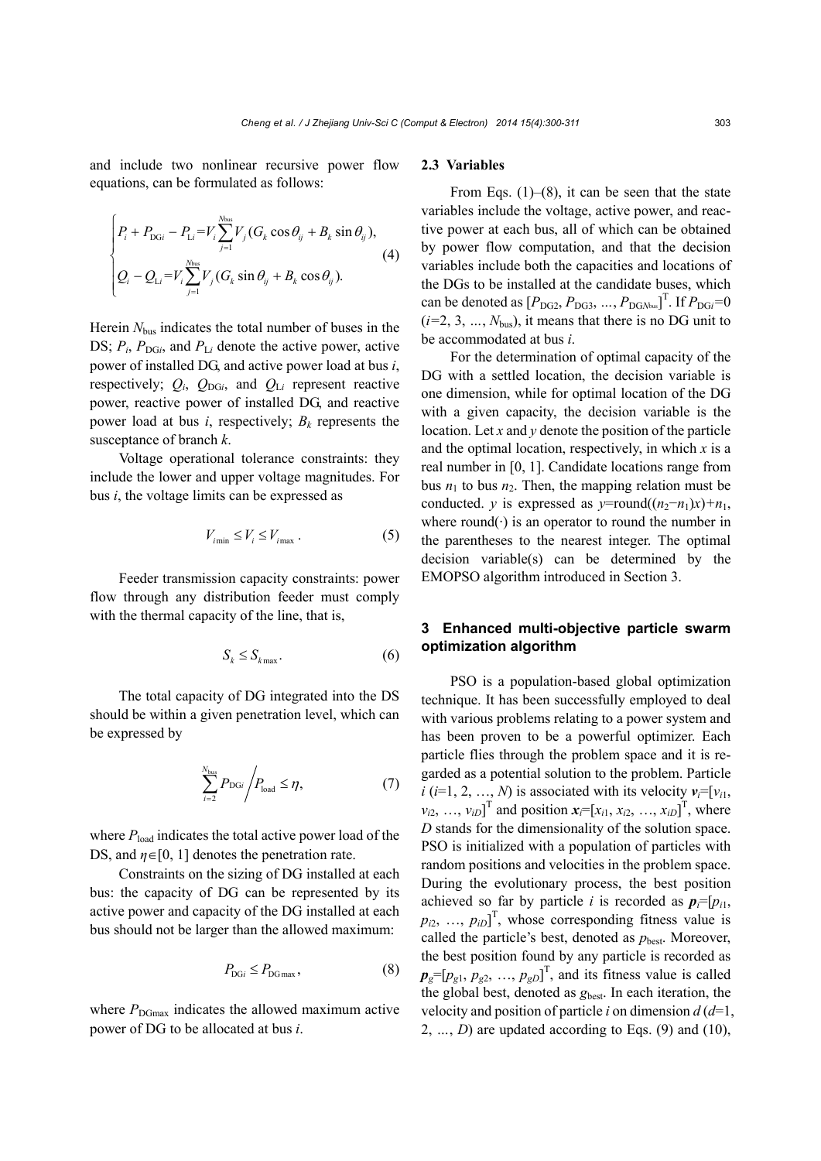and include two nonlinear recursive power flow equations, can be formulated as follows:

$$
\begin{cases}\nP_i + P_{\text{DG}i} - P_{\text{Li}} = V_i \sum_{j=1}^{N_{\text{bus}}} V_j (G_k \cos \theta_{ij} + B_k \sin \theta_{ij}), \\
Q_i - Q_{\text{Li}} = V_i \sum_{j=1}^{N_{\text{bus}}} V_j (G_k \sin \theta_{ij} + B_k \cos \theta_{ij}).\n\end{cases} (4)
$$

Herein  $N_{\text{bus}}$  indicates the total number of buses in the DS;  $P_i$ ,  $P_{\text{DG}_i}$ , and  $P_{\text{L}_i}$  denote the active power, active power of installed DG, and active power load at bus *i*, respectively;  $Q_i$ ,  $Q_{\text{DG}i}$ , and  $Q_{\text{L}i}$  represent reactive power, reactive power of installed DG, and reactive power load at bus  $i$ , respectively;  $B_k$  represents the susceptance of branch *k*.

Voltage operational tolerance constraints: they include the lower and upper voltage magnitudes. For bus *i*, the voltage limits can be expressed as

$$
V_{i\min} \le V_i \le V_{i\max} \,. \tag{5}
$$

Feeder transmission capacity constraints: power flow through any distribution feeder must comply with the thermal capacity of the line, that is,

$$
S_k \le S_{k\max}.\tag{6}
$$

The total capacity of DG integrated into the DS should be within a given penetration level, which can be expressed by

$$
\sum_{i=2}^{N_{\text{bus}}} P_{\text{DG}i} / P_{\text{load}} \le \eta, \tag{7}
$$

where  $P_{load}$  indicates the total active power load of the DS, and  $\eta \in [0, 1]$  denotes the penetration rate.

Constraints on the sizing of DG installed at each bus: the capacity of DG can be represented by its active power and capacity of the DG installed at each bus should not be larger than the allowed maximum:

$$
P_{\text{DG}i} \le P_{\text{DG max}},\tag{8}
$$

where  $P_{\text{DGmax}}$  indicates the allowed maximum active power of DG to be allocated at bus *i*.

#### **2.3 Variables**

From Eqs.  $(1)$ – $(8)$ , it can be seen that the state variables include the voltage, active power, and reactive power at each bus, all of which can be obtained by power flow computation, and that the decision variables include both the capacities and locations of the DGs to be installed at the candidate buses, which can be denoted as  $[P_{\text{DG2}}, P_{\text{DG3}}, ..., P_{\text{DG/Nbus}}]^{\text{T}}$ . If  $P_{\text{DG}i}=0$  $(i=2, 3, ..., N_{bus})$ , it means that there is no DG unit to be accommodated at bus *i*.

For the determination of optimal capacity of the DG with a settled location, the decision variable is one dimension, while for optimal location of the DG with a given capacity, the decision variable is the location. Let *x* and *y* denote the position of the particle and the optimal location, respectively, in which *x* is a real number in [0, 1]. Candidate locations range from bus  $n_1$  to bus  $n_2$ . Then, the mapping relation must be conducted. *y* is expressed as *y*=round( $(n_2-n_1)x$ )+ $n_1$ , where round( $\cdot$ ) is an operator to round the number in the parentheses to the nearest integer. The optimal decision variable(s) can be determined by the EMOPSO algorithm introduced in Section 3.

# **3 Enhanced multi-objective particle swarm optimization algorithm**

PSO is a population-based global optimization technique. It has been successfully employed to deal with various problems relating to a power system and has been proven to be a powerful optimizer. Each particle flies through the problem space and it is regarded as a potential solution to the problem. Particle  $i$  (*i*=1, 2, ..., *N*) is associated with its velocity  $v_i = [v_i]$ ,  $v_{i2}, ..., v_{iD}$ <sup>T</sup> and position  $x_i = [x_{i1}, x_{i2}, ..., x_{iD}]$ <sup>T</sup>, where *D* stands for the dimensionality of the solution space. PSO is initialized with a population of particles with random positions and velocities in the problem space. During the evolutionary process, the best position achieved so far by particle *i* is recorded as  $p_i = [p_i]$ ,  $p_{i2}, \ldots, p_{iD}$ <sup>T</sup>, whose corresponding fitness value is called the particle's best, denoted as  $p_{best}$ . Moreover, the best position found by any particle is recorded as  $p_g=[p_{g1}, p_{g2}, ..., p_{gD}]$ <sup>T</sup>, and its fitness value is called the global best, denoted as  $g_{\text{best}}$ . In each iteration, the velocity and position of particle *i* on dimension *d* (*d*=1, 2, *…*, *D*) are updated according to Eqs. (9) and (10),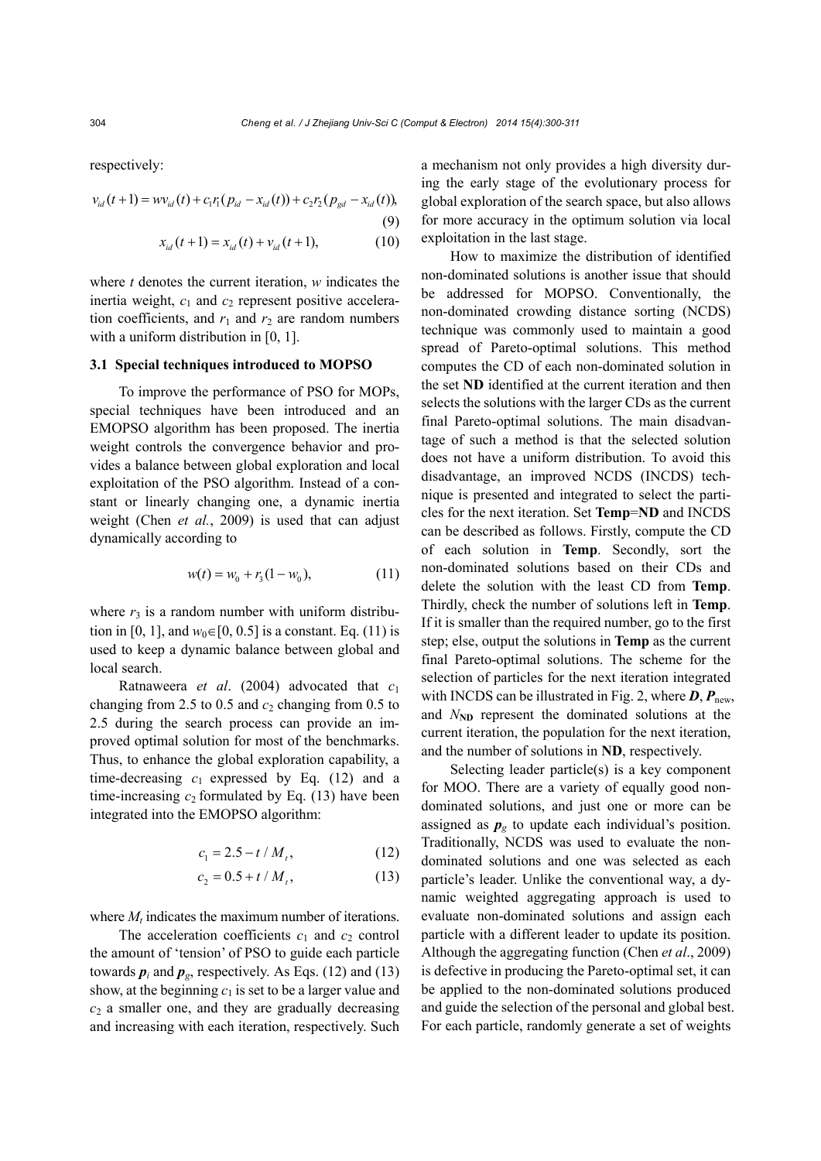respectively:

$$
v_{id}(t+1) = w v_{id}(t) + c_1 r_1 (p_{id} - x_{id}(t)) + c_2 r_2 (p_{gd} - x_{id}(t)),
$$
\n(9)  
\n
$$
x_{id}(t+1) = x_{id}(t) + v_{id}(t+1),
$$
\n(10)

where *t* denotes the current iteration, *w* indicates the inertia weight,  $c_1$  and  $c_2$  represent positive acceleration coefficients, and  $r_1$  and  $r_2$  are random numbers with a uniform distribution in [0, 1].

#### **3.1 Special techniques introduced to MOPSO**

To improve the performance of PSO for MOPs, special techniques have been introduced and an EMOPSO algorithm has been proposed. The inertia weight controls the convergence behavior and provides a balance between global exploration and local exploitation of the PSO algorithm. Instead of a constant or linearly changing one, a dynamic inertia weight (Chen *et al.*, 2009) is used that can adjust dynamically according to

$$
w(t) = w_0 + r_3(1 - w_0), \tag{11}
$$

where  $r_3$  is a random number with uniform distribution in [0, 1], and  $w_0 \in [0, 0.5]$  is a constant. Eq. (11) is used to keep a dynamic balance between global and local search.

Ratnaweera *et al*. (2004) advocated that *c*<sup>1</sup> changing from 2.5 to 0.5 and  $c_2$  changing from 0.5 to 2.5 during the search process can provide an improved optimal solution for most of the benchmarks. Thus, to enhance the global exploration capability, a time-decreasing  $c_1$  expressed by Eq. (12) and a time-increasing  $c_2$  formulated by Eq. (13) have been integrated into the EMOPSO algorithm:

$$
c_1 = 2.5 - t / M_t, \t\t(12)
$$

$$
c_2 = 0.5 + t / M_t, \t\t(13)
$$

where  $M_t$  indicates the maximum number of iterations.

The acceleration coefficients  $c_1$  and  $c_2$  control the amount of 'tension' of PSO to guide each particle towards  $p_i$  and  $p_g$ , respectively. As Eqs. (12) and (13) show, at the beginning  $c_1$  is set to be a larger value and  $c<sub>2</sub>$  a smaller one, and they are gradually decreasing and increasing with each iteration, respectively. Such a mechanism not only provides a high diversity during the early stage of the evolutionary process for global exploration of the search space, but also allows for more accuracy in the optimum solution via local exploitation in the last stage.

How to maximize the distribution of identified non-dominated solutions is another issue that should be addressed for MOPSO. Conventionally, the non-dominated crowding distance sorting (NCDS) technique was commonly used to maintain a good spread of Pareto-optimal solutions. This method computes the CD of each non-dominated solution in the set **ND** identified at the current iteration and then selects the solutions with the larger CDs as the current final Pareto-optimal solutions. The main disadvantage of such a method is that the selected solution does not have a uniform distribution. To avoid this disadvantage, an improved NCDS (INCDS) technique is presented and integrated to select the particles for the next iteration. Set **Temp**=**ND** and INCDS can be described as follows. Firstly, compute the CD of each solution in **Temp**. Secondly, sort the non-dominated solutions based on their CDs and delete the solution with the least CD from **Temp**. Thirdly, check the number of solutions left in **Temp**. If it is smaller than the required number, go to the first step; else, output the solutions in **Temp** as the current final Pareto-optimal solutions. The scheme for the selection of particles for the next iteration integrated with INCDS can be illustrated in Fig. 2, where  $D$ ,  $P_{\text{new}}$ , and  $N_{ND}$  represent the dominated solutions at the current iteration, the population for the next iteration, and the number of solutions in **ND**, respectively.

Selecting leader particle(s) is a key component for MOO. There are a variety of equally good nondominated solutions, and just one or more can be assigned as  $p_g$  to update each individual's position. Traditionally, NCDS was used to evaluate the nondominated solutions and one was selected as each particle's leader. Unlike the conventional way, a dynamic weighted aggregating approach is used to evaluate non-dominated solutions and assign each particle with a different leader to update its position. Although the aggregating function (Chen *et al*., 2009) is defective in producing the Pareto-optimal set, it can be applied to the non-dominated solutions produced and guide the selection of the personal and global best. For each particle, randomly generate a set of weights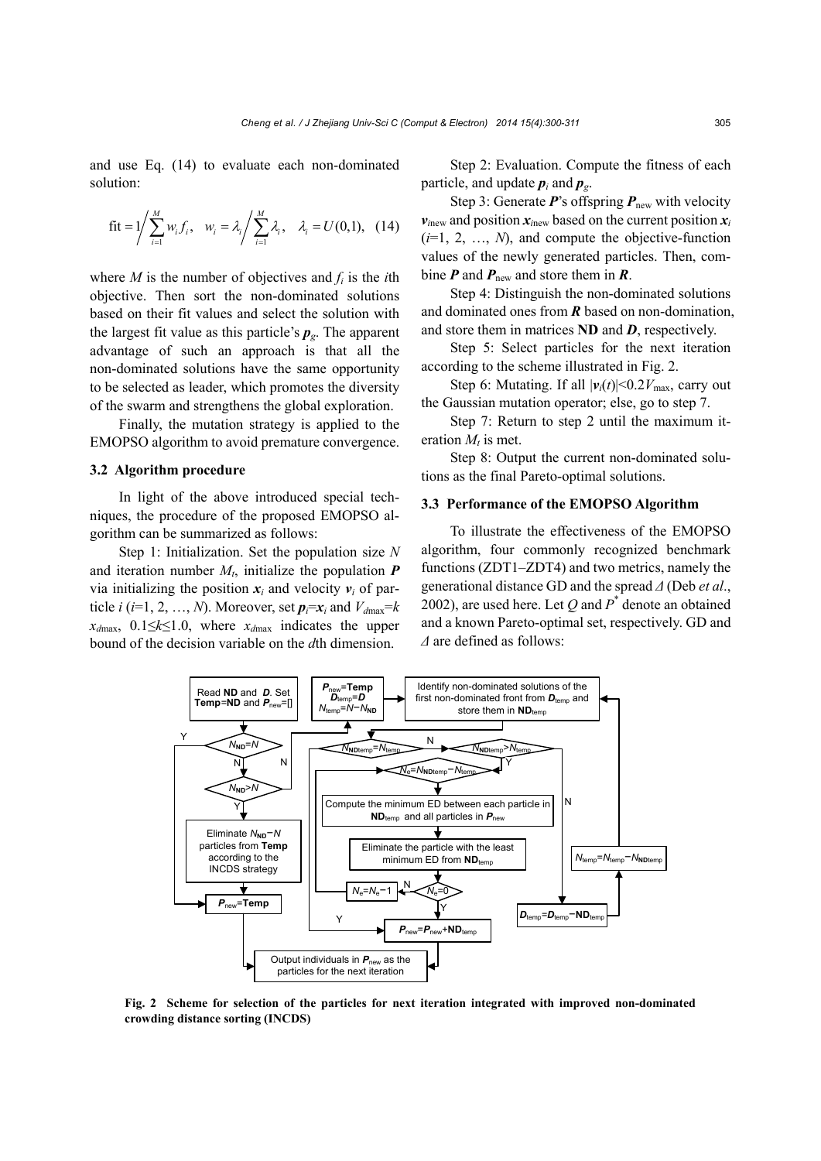and use Eq. (14) to evaluate each non-dominated solution:

$$
\text{fit} = 1/\sum_{i=1}^{M} w_i f_i, \quad w_i = \lambda_i/\sum_{i=1}^{M} \lambda_i, \quad \lambda_i = U(0,1), \quad (14)
$$

where *M* is the number of objectives and  $f_i$  is the *i*th objective. Then sort the non-dominated solutions based on their fit values and select the solution with the largest fit value as this particle's  $p_g$ . The apparent advantage of such an approach is that all the non-dominated solutions have the same opportunity to be selected as leader, which promotes the diversity of the swarm and strengthens the global exploration.

Finally, the mutation strategy is applied to the EMOPSO algorithm to avoid premature convergence.

#### **3.2 Algorithm procedure**

In light of the above introduced special techniques, the procedure of the proposed EMOPSO algorithm can be summarized as follows:

Step 1: Initialization. Set the population size *N* and iteration number  $M_t$ , initialize the population  $\boldsymbol{P}$ via initializing the position  $x_i$  and velocity  $v_i$  of particle *i* (*i*=1, 2, ..., *N*). Moreover, set  $p_i = x_i$  and  $V_{dmax} = k$  $x_{dmax}$ , 0.1≤ $k \le 1.0$ , where  $x_{dmax}$  indicates the upper bound of the decision variable on the *d*th dimension.

Step 2: Evaluation. Compute the fitness of each particle, and update  $p_i$  and  $p_g$ .

Step 3: Generate *P*'s offspring  $P_{\text{new}}$  with velocity  $v_{\text{new}}$  and position  $x_{\text{new}}$  based on the current position  $x_i$  $(i=1, 2, ..., N)$ , and compute the objective-function values of the newly generated particles. Then, combine  $P$  and  $P_{\text{new}}$  and store them in  $R$ .

Step 4: Distinguish the non-dominated solutions and dominated ones from *R* based on non-domination, and store them in matrices **ND** and *D*, respectively.

Step 5: Select particles for the next iteration according to the scheme illustrated in Fig. 2.

Step 6: Mutating. If all  $|v_i(t)| \le 0.2 V_{\text{max}}$ , carry out the Gaussian mutation operator; else, go to step 7.

Step 7: Return to step 2 until the maximum iteration  $M_t$  is met.

Step 8: Output the current non-dominated solutions as the final Pareto-optimal solutions.

### **3.3 Performance of the EMOPSO Algorithm**

To illustrate the effectiveness of the EMOPSO algorithm, four commonly recognized benchmark functions (ZDT1–ZDT4) and two metrics, namely the generational distance GD and the spread *Δ* (Deb *et al*., 2002), are used here. Let  $Q$  and  $P^*$  denote an obtained and a known Pareto-optimal set, respectively. GD and *Δ* are defined as follows:



**Fig. 2 Scheme for selection of the particles for next iteration integrated with improved non-dominated crowding distance sorting (INCDS)**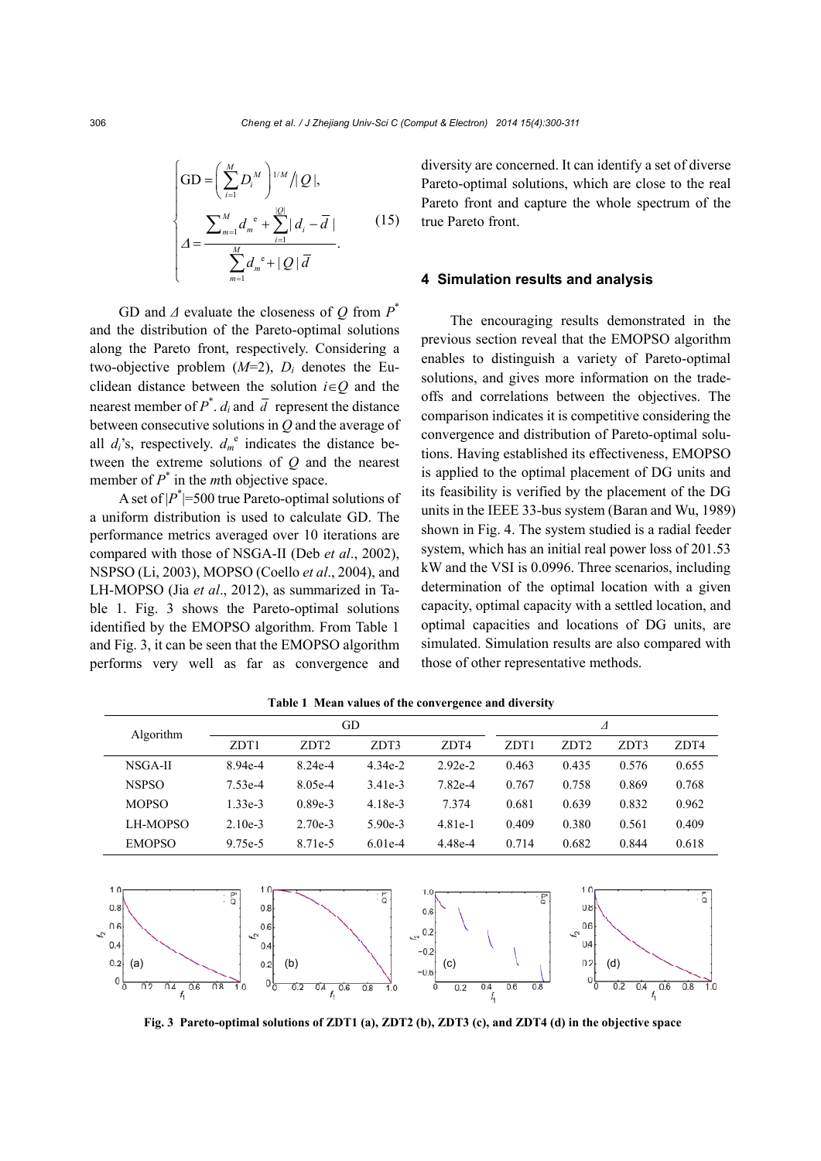$$
\begin{cases}\n\text{GD} = \left(\sum_{i=1}^{M} D_i^M\right)^{1/M} / |Q|, \\
\Delta = \frac{\sum_{m=1}^{M} d_m^{\ e} + \sum_{i=1}^{|Q|} |d_i - \overline{d}|}{\sum_{m=1}^{M} d_m^{\ e} + |Q| \overline{d}}.\n\end{cases} (15)
$$

GD and *Δ* evaluate the closeness of *Q* from *P*\* and the distribution of the Pareto-optimal solutions along the Pareto front, respectively. Considering a two-objective problem  $(M=2)$ ,  $D_i$  denotes the Euclidean distance between the solution  $i \in O$  and the nearest member of  $P^*$ .  $d_i$  and  $\overline{d}$  represent the distance between consecutive solutions in *Q* and the average of all  $d_i$ 's, respectively.  $d_m$ <sup>e</sup> indicates the distance between the extreme solutions of *Q* and the nearest member of  $P^*$  in the *m*th objective space.

A set of  $|P^*|=500$  true Pareto-optimal solutions of a uniform distribution is used to calculate GD. The performance metrics averaged over 10 iterations are compared with those of NSGA-II (Deb *et al*., 2002), NSPSO (Li, 2003), MOPSO (Coello *et al*., 2004), and LH-MOPSO (Jia *et al*., 2012), as summarized in Table 1. Fig. 3 shows the Pareto-optimal solutions identified by the EMOPSO algorithm. From Table 1 and Fig. 3, it can be seen that the EMOPSO algorithm performs very well as far as convergence and

diversity are concerned. It can identify a set of diverse Pareto-optimal solutions, which are close to the real Pareto front and capture the whole spectrum of the true Pareto front.

#### **4 Simulation results and analysis**

The encouraging results demonstrated in the previous section reveal that the EMOPSO algorithm enables to distinguish a variety of Pareto-optimal solutions, and gives more information on the tradeoffs and correlations between the objectives. The comparison indicates it is competitive considering the convergence and distribution of Pareto-optimal solutions. Having established its effectiveness, EMOPSO is applied to the optimal placement of DG units and its feasibility is verified by the placement of the DG units in the IEEE 33-bus system (Baran and Wu, 1989) shown in Fig. 4. The system studied is a radial feeder system, which has an initial real power loss of 201.53 kW and the VSI is 0.0996. Three scenarios, including determination of the optimal location with a given capacity, optimal capacity with a settled location, and optimal capacities and locations of DG units, are simulated. Simulation results are also compared with those of other representative methods.

| Algorithm                                                                                           |                                                                                 |                               | GD                           |                                                                         |                             | Δ<br>ZDT <sub>2</sub><br>ZDT3<br>0.435<br>0.576<br>0.869<br>0.758<br>0.639<br>0.832<br>0.380<br>0.561<br>0.682<br>0.844 |                          |                                          |
|-----------------------------------------------------------------------------------------------------|---------------------------------------------------------------------------------|-------------------------------|------------------------------|-------------------------------------------------------------------------|-----------------------------|-------------------------------------------------------------------------------------------------------------------------|--------------------------|------------------------------------------|
|                                                                                                     | ZDT1                                                                            | ZDT <sub>2</sub>              | ZDT3                         | ZDT4                                                                    | ZDT1                        |                                                                                                                         |                          | ZDT4                                     |
| NSGA-II                                                                                             | 8.94e-4                                                                         | 8.24e-4                       | $4.34e-2$                    | $2.92e-2$                                                               | 0.463                       |                                                                                                                         |                          | 0.655                                    |
| <b>NSPSO</b>                                                                                        | $7.53e-4$                                                                       | 8.05e-4                       | $3.41e-3$                    | 7.82e-4                                                                 | 0.767                       |                                                                                                                         |                          | 0.768                                    |
| <b>MOPSO</b>                                                                                        | $1.33e-3$                                                                       | $0.89e-3$                     | 4.18e-3                      | 7.374                                                                   | 0.681                       |                                                                                                                         |                          | 0.962                                    |
| LH-MOPSO                                                                                            | $2.10e-3$                                                                       | $2.70e-3$                     | 5.90e-3                      | $4.81e-1$                                                               | 0.409                       |                                                                                                                         |                          | 0.409                                    |
| <b>EMOPSO</b>                                                                                       | $9.75e-5$                                                                       | 8.71e-5                       | $6.01e-4$                    | 4.48e-4                                                                 | 0.714                       |                                                                                                                         |                          | 0.618                                    |
| 1.0<br>0.8<br>0.6<br>$\mathbb{C}^2$<br>0.4<br>0.2<br>(a)<br>0<br>0.2<br>0.4<br>0.6<br>$\Omega$<br>4 | 1.0<br>$\overline{c}$<br>0.8<br>0.6<br>سم<br>0.4<br>0.2<br>0<br>0.8<br>1.0<br>0 | (b)<br>0.2<br>0.6<br>04<br>T4 | $\overline{c}$<br>0.8<br>1.0 | 1.0<br>0.6<br>$\sim$ 0.21<br>$-0.2$<br>(c)<br>$-0.6$<br>0.4<br>0<br>0.2 | b,<br>ò<br>0.8<br>0.6<br>f, | 1.0<br>0.8<br>0.6<br>7ء<br>04<br>0.2<br>0<br>$\overline{0}$                                                             | (d)<br>0.2<br>0.4<br>0.6 | $\frac{1}{2}$<br>$\overline{1.0}$<br>0.8 |

**Table 1 Mean values of the convergence and diversity** 

**Fig. 3 Pareto-optimal solutions of ZDT1 (a), ZDT2 (b), ZDT3 (c), and ZDT4 (d) in the objective space**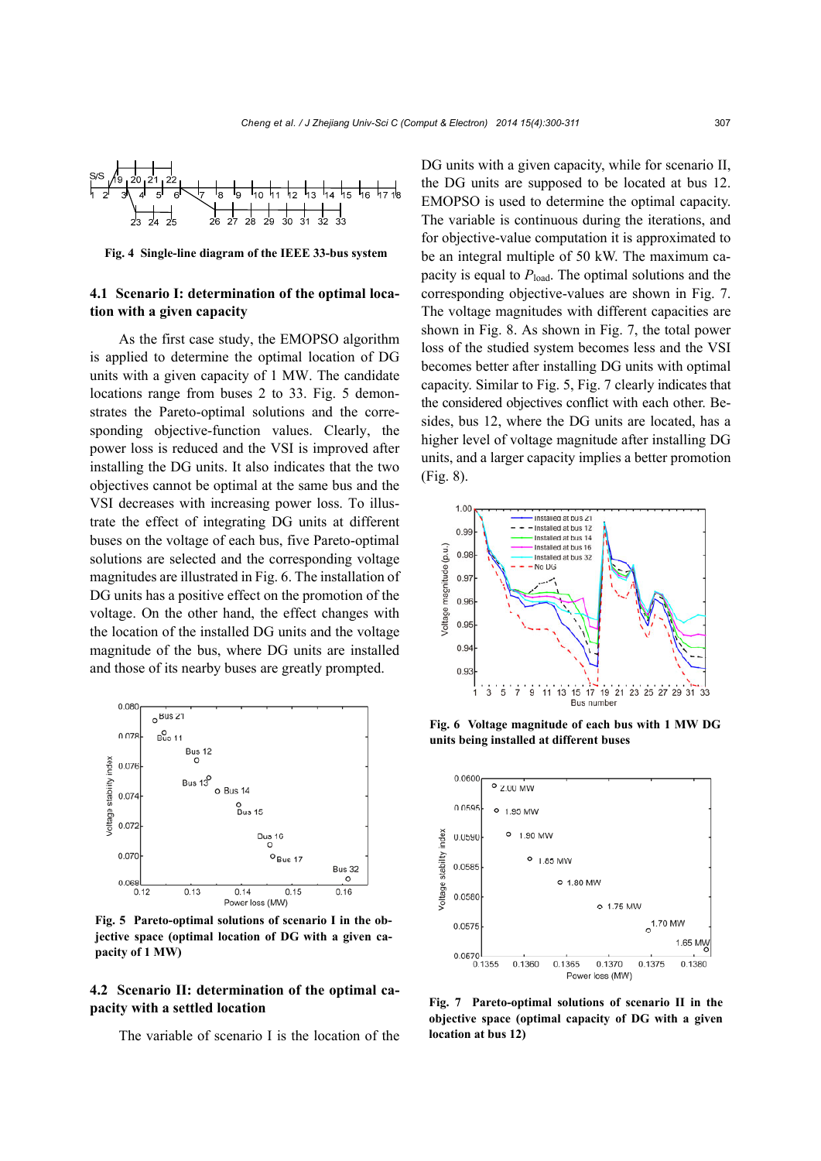

**Fig. 4 Single-line diagram of the IEEE 33-bus system**

# **4.1 Scenario I: determination of the optimal location with a given capacity**

As the first case study, the EMOPSO algorithm is applied to determine the optimal location of DG units with a given capacity of 1 MW. The candidate locations range from buses 2 to 33. Fig. 5 demonstrates the Pareto-optimal solutions and the corresponding objective-function values. Clearly, the power loss is reduced and the VSI is improved after installing the DG units. It also indicates that the two objectives cannot be optimal at the same bus and the VSI decreases with increasing power loss. To illustrate the effect of integrating DG units at different buses on the voltage of each bus, five Pareto-optimal solutions are selected and the corresponding voltage magnitudes are illustrated in Fig. 6. The installation of DG units has a positive effect on the promotion of the voltage. On the other hand, the effect changes with the location of the installed DG units and the voltage magnitude of the bus, where DG units are installed and those of its nearby buses are greatly prompted.



**Fig. 5 Pareto-optimal solutions of scenario I in the objective space (optimal location of DG with a given capacity of 1 MW)**

# **4.2 Scenario II: determination of the optimal capacity with a settled location**

The variable of scenario I is the location of the

DG units with a given capacity, while for scenario II, the DG units are supposed to be located at bus 12. EMOPSO is used to determine the optimal capacity. The variable is continuous during the iterations, and for objective-value computation it is approximated to be an integral multiple of 50 kW. The maximum capacity is equal to  $P_{load}$ . The optimal solutions and the corresponding objective-values are shown in Fig. 7. The voltage magnitudes with different capacities are shown in Fig. 8. As shown in Fig. 7, the total power loss of the studied system becomes less and the VSI becomes better after installing DG units with optimal capacity. Similar to Fig. 5, Fig. 7 clearly indicates that the considered objectives conflict with each other. Besides, bus 12, where the DG units are located, has a higher level of voltage magnitude after installing DG units, and a larger capacity implies a better promotion (Fig. 8).



**Fig. 6 Voltage magnitude of each bus with 1 MW DG units being installed at different buses**



**Fig. 7 Pareto-optimal solutions of scenario II in the objective space (optimal capacity of DG with a given location at bus 12)**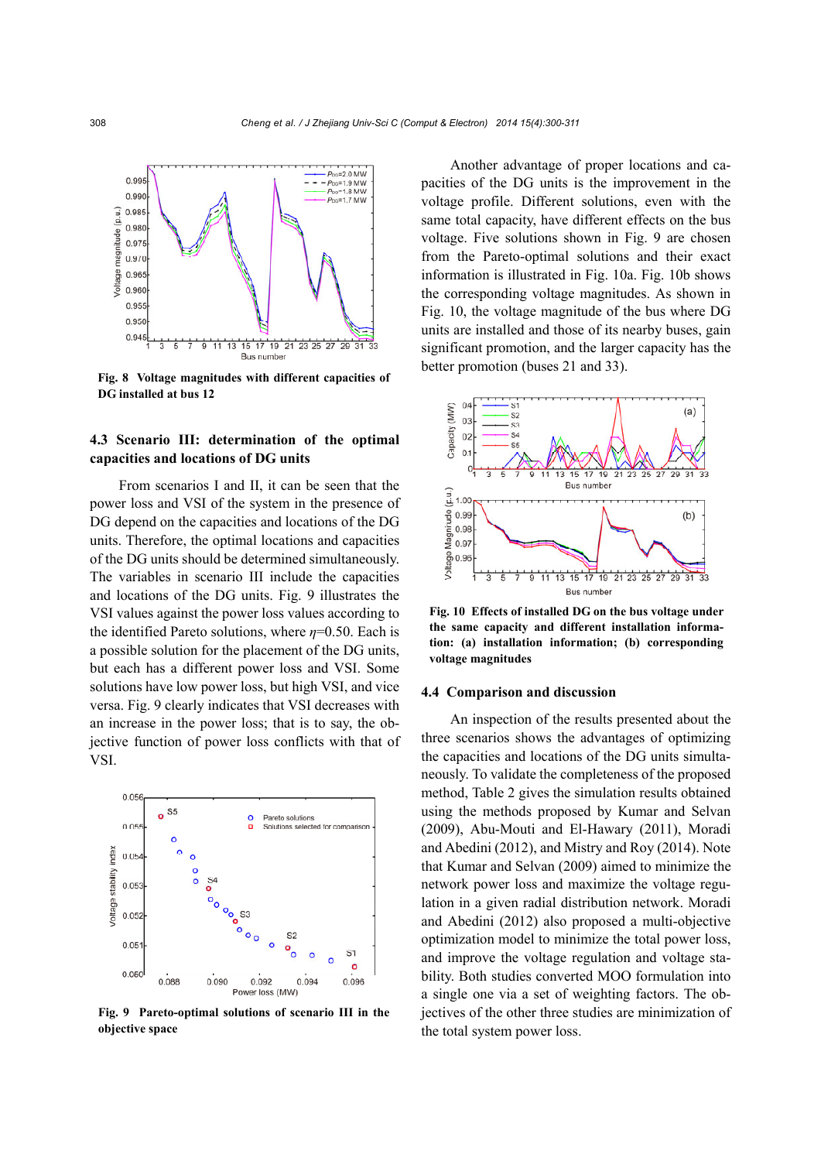

**Fig. 8 Voltage magnitudes with different capacities of DG installed at bus 12**

# **4.3 Scenario III: determination of the optimal capacities and locations of DG units**

From scenarios I and II, it can be seen that the power loss and VSI of the system in the presence of DG depend on the capacities and locations of the DG units. Therefore, the optimal locations and capacities of the DG units should be determined simultaneously. The variables in scenario III include the capacities and locations of the DG units. Fig. 9 illustrates the VSI values against the power loss values according to the identified Pareto solutions, where *η*=0.50. Each is a possible solution for the placement of the DG units, but each has a different power loss and VSI. Some solutions have low power loss, but high VSI, and vice versa. Fig. 9 clearly indicates that VSI decreases with an increase in the power loss; that is to say, the objective function of power loss conflicts with that of VSI.



**Fig. 9 Pareto-optimal solutions of scenario III in the objective space**

Another advantage of proper locations and capacities of the DG units is the improvement in the voltage profile. Different solutions, even with the same total capacity, have different effects on the bus voltage. Five solutions shown in Fig. 9 are chosen from the Pareto-optimal solutions and their exact information is illustrated in Fig. 10a. Fig. 10b shows the corresponding voltage magnitudes. As shown in Fig. 10, the voltage magnitude of the bus where DG units are installed and those of its nearby buses, gain significant promotion, and the larger capacity has the better promotion (buses 21 and 33).



**Fig. 10 Effects of installed DG on the bus voltage under the same capacity and different installation information: (a) installation information; (b) corresponding voltage magnitudes**

#### **4.4 Comparison and discussion**

An inspection of the results presented about the three scenarios shows the advantages of optimizing the capacities and locations of the DG units simultaneously. To validate the completeness of the proposed method, Table 2 gives the simulation results obtained using the methods proposed by Kumar and Selvan (2009), Abu-Mouti and El-Hawary (2011), Moradi and Abedini (2012), and Mistry and Roy (2014). Note that Kumar and Selvan (2009) aimed to minimize the network power loss and maximize the voltage regulation in a given radial distribution network. Moradi and Abedini (2012) also proposed a multi-objective optimization model to minimize the total power loss, and improve the voltage regulation and voltage stability. Both studies converted MOO formulation into a single one via a set of weighting factors. The objectives of the other three studies are minimization of the total system power loss.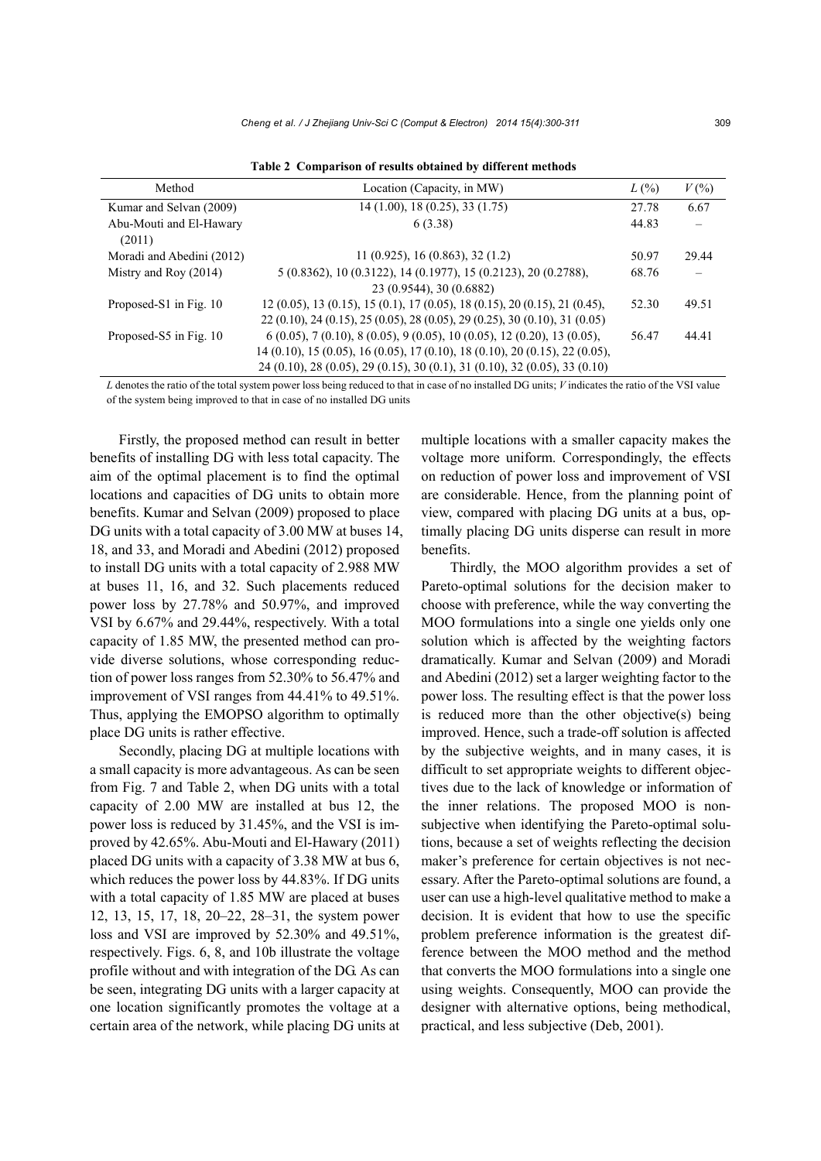| Method                    | Location (Capacity, in MW)                                                                   | $L(\%)$ | $V(\%)$ |
|---------------------------|----------------------------------------------------------------------------------------------|---------|---------|
| Kumar and Selvan (2009)   | 14 (1.00), 18 (0.25), 33 (1.75)                                                              | 27.78   | 6.67    |
| Abu-Mouti and El-Hawary   | 6(3.38)                                                                                      | 44.83   |         |
| (2011)                    |                                                                                              |         |         |
| Moradi and Abedini (2012) | 11 (0.925), 16 (0.863), 32 (1.2)                                                             | 50.97   | 29.44   |
| Mistry and Roy (2014)     | 5 (0.8362), 10 (0.3122), 14 (0.1977), 15 (0.2123), 20 (0.2788),                              | 68.76   |         |
|                           | 23 (0.9544), 30 (0.6882)                                                                     |         |         |
| Proposed-S1 in Fig. 10    | $12(0.05)$ , $13(0.15)$ , $15(0.1)$ , $17(0.05)$ , $18(0.15)$ , $20(0.15)$ , $21(0.45)$ ,    | 52.30   | 49.51   |
|                           | 22 (0.10), 24 (0.15), 25 (0.05), 28 (0.05), 29 (0.25), 30 (0.10), 31 (0.05)                  |         |         |
| Proposed-S5 in Fig. 10    | $6(0.05)$ , 7 $(0.10)$ , 8 $(0.05)$ , 9 $(0.05)$ , 10 $(0.05)$ , 12 $(0.20)$ , 13 $(0.05)$ , | 56.47   | 44.41   |
|                           | 14 (0.10), 15 (0.05), 16 (0.05), 17 (0.10), 18 (0.10), 20 (0.15), 22 (0.05),                 |         |         |
|                           | 24 (0.10), 28 (0.05), 29 (0.15), 30 (0.1), 31 (0.10), 32 (0.05), 33 (0.10)                   |         |         |

**Table 2 Comparison of results obtained by different methods** 

*L* denotes the ratio of the total system power loss being reduced to that in case of no installed DG units; *V* indicates the ratio of the VSI value of the system being improved to that in case of no installed DG units

Firstly, the proposed method can result in better benefits of installing DG with less total capacity. The aim of the optimal placement is to find the optimal locations and capacities of DG units to obtain more benefits. Kumar and Selvan (2009) proposed to place DG units with a total capacity of 3.00 MW at buses 14, 18, and 33, and Moradi and Abedini (2012) proposed to install DG units with a total capacity of 2.988 MW at buses 11, 16, and 32. Such placements reduced power loss by 27.78% and 50.97%, and improved VSI by 6.67% and 29.44%, respectively. With a total capacity of 1.85 MW, the presented method can provide diverse solutions, whose corresponding reduction of power loss ranges from 52.30% to 56.47% and improvement of VSI ranges from 44.41% to 49.51%. Thus, applying the EMOPSO algorithm to optimally place DG units is rather effective.

Secondly, placing DG at multiple locations with a small capacity is more advantageous. As can be seen from Fig. 7 and Table 2, when DG units with a total capacity of 2.00 MW are installed at bus 12, the power loss is reduced by 31.45%, and the VSI is improved by 42.65%. Abu-Mouti and El-Hawary (2011) placed DG units with a capacity of 3.38 MW at bus 6, which reduces the power loss by 44.83%. If DG units with a total capacity of 1.85 MW are placed at buses 12, 13, 15, 17, 18, 20–22, 28–31, the system power loss and VSI are improved by 52.30% and 49.51%, respectively. Figs. 6, 8, and 10b illustrate the voltage profile without and with integration of the DG. As can be seen, integrating DG units with a larger capacity at one location significantly promotes the voltage at a certain area of the network, while placing DG units at multiple locations with a smaller capacity makes the voltage more uniform. Correspondingly, the effects on reduction of power loss and improvement of VSI are considerable. Hence, from the planning point of view, compared with placing DG units at a bus, optimally placing DG units disperse can result in more benefits.

Thirdly, the MOO algorithm provides a set of Pareto-optimal solutions for the decision maker to choose with preference, while the way converting the MOO formulations into a single one yields only one solution which is affected by the weighting factors dramatically. Kumar and Selvan (2009) and Moradi and Abedini (2012) set a larger weighting factor to the power loss. The resulting effect is that the power loss is reduced more than the other objective(s) being improved. Hence, such a trade-off solution is affected by the subjective weights, and in many cases, it is difficult to set appropriate weights to different objectives due to the lack of knowledge or information of the inner relations. The proposed MOO is nonsubjective when identifying the Pareto-optimal solutions, because a set of weights reflecting the decision maker's preference for certain objectives is not necessary. After the Pareto-optimal solutions are found, a user can use a high-level qualitative method to make a decision. It is evident that how to use the specific problem preference information is the greatest difference between the MOO method and the method that converts the MOO formulations into a single one using weights. Consequently, MOO can provide the designer with alternative options, being methodical, practical, and less subjective (Deb, 2001).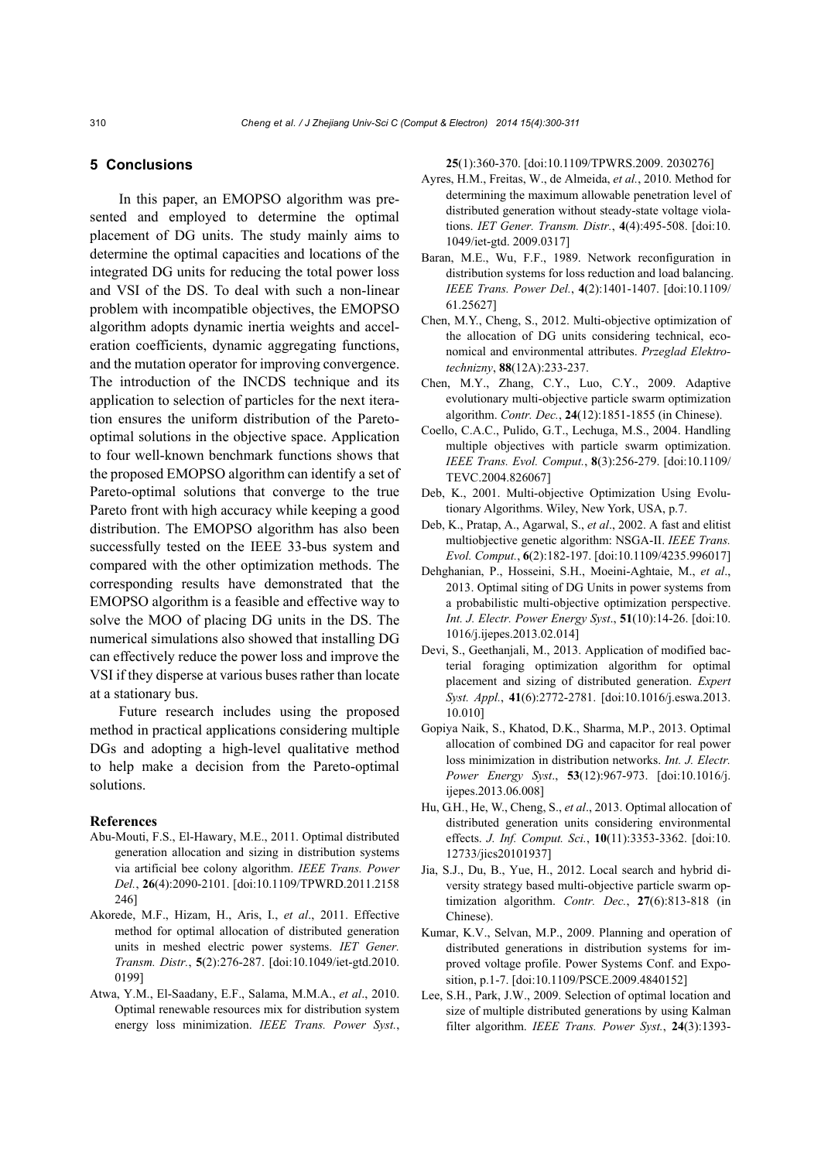# **5 Conclusions**

In this paper, an EMOPSO algorithm was presented and employed to determine the optimal placement of DG units. The study mainly aims to determine the optimal capacities and locations of the integrated DG units for reducing the total power loss and VSI of the DS. To deal with such a non-linear problem with incompatible objectives, the EMOPSO algorithm adopts dynamic inertia weights and acceleration coefficients, dynamic aggregating functions, and the mutation operator for improving convergence. The introduction of the INCDS technique and its application to selection of particles for the next iteration ensures the uniform distribution of the Paretooptimal solutions in the objective space. Application to four well-known benchmark functions shows that the proposed EMOPSO algorithm can identify a set of Pareto-optimal solutions that converge to the true Pareto front with high accuracy while keeping a good distribution. The EMOPSO algorithm has also been successfully tested on the IEEE 33-bus system and compared with the other optimization methods. The corresponding results have demonstrated that the EMOPSO algorithm is a feasible and effective way to solve the MOO of placing DG units in the DS. The numerical simulations also showed that installing DG can effectively reduce the power loss and improve the VSI if they disperse at various buses rather than locate at a stationary bus.

Future research includes using the proposed method in practical applications considering multiple DGs and adopting a high-level qualitative method to help make a decision from the Pareto-optimal solutions.

#### **References**

- Abu-Mouti, F.S., El-Hawary, M.E., 2011. Optimal distributed generation allocation and sizing in distribution systems via artificial bee colony algorithm. *IEEE Trans. Power Del.*, **26**(4):2090-2101. [doi:10.1109/TPWRD.2011.2158 246]
- Akorede, M.F., Hizam, H., Aris, I., *et al*., 2011. Effective method for optimal allocation of distributed generation units in meshed electric power systems. *IET Gener. Transm. Distr.*, **5**(2):276-287. [doi:10.1049/iet-gtd.2010. 0199]
- Atwa, Y.M., El-Saadany, E.F., Salama, M.M.A., *et al*., 2010. Optimal renewable resources mix for distribution system energy loss minimization. *IEEE Trans. Power Syst.*,

**25**(1):360-370. [doi:10.1109/TPWRS.2009. 2030276]

- Ayres, H.M., Freitas, W., de Almeida, *et al.*, 2010. Method for determining the maximum allowable penetration level of distributed generation without steady-state voltage violations. *IET Gener. Transm. Distr.*, **4**(4):495-508. [doi:10. 1049/iet-gtd. 2009.0317]
- Baran, M.E., Wu, F.F., 1989. Network reconfiguration in distribution systems for loss reduction and load balancing. *IEEE Trans. Power Del.*, **4**(2):1401-1407. [doi:10.1109/ 61.25627]
- Chen, M.Y., Cheng, S., 2012. Multi-objective optimization of the allocation of DG units considering technical, economical and environmental attributes. *Przeglad Elektrotechnizny*, **88**(12A):233-237.
- Chen, M.Y., Zhang, C.Y., Luo, C.Y., 2009. Adaptive evolutionary multi-objective particle swarm optimization algorithm. *Contr. Dec.*, **24**(12):1851-1855 (in Chinese).
- Coello, C.A.C., Pulido, G.T., Lechuga, M.S., 2004. Handling multiple objectives with particle swarm optimization. *IEEE Trans. Evol. Comput.*, **8**(3):256-279. [doi:10.1109/ TEVC.2004.826067]
- Deb, K., 2001. Multi-objective Optimization Using Evolutionary Algorithms. Wiley, New York, USA, p.7.
- Deb, K., Pratap, A., Agarwal, S., *et al*., 2002. A fast and elitist multiobjective genetic algorithm: NSGA-II. *IEEE Trans. Evol. Comput.*, **6**(2):182-197. [doi:10.1109/4235.996017]
- Dehghanian, P., Hosseini, S.H., Moeini-Aghtaie, M., *et al*., 2013. Optimal siting of DG Units in power systems from a probabilistic multi-objective optimization perspective. *Int. J. Electr. Power Energy Syst*., **51**(10):14-26. [doi:10. 1016/j.ijepes.2013.02.014]
- Devi, S., Geethanjali, M., 2013. Application of modified bacterial foraging optimization algorithm for optimal placement and sizing of distributed generation. *Expert Syst. Appl.*, **41**(6):2772-2781. [doi:10.1016/j.eswa.2013. 10.010]
- Gopiya Naik, S., Khatod, D.K., Sharma, M.P., 2013. Optimal allocation of combined DG and capacitor for real power loss minimization in distribution networks. *Int. J. Electr. Power Energy Syst*., **53**(12):967-973. [doi:10.1016/j. ijepes.2013.06.008]
- Hu, G.H., He, W., Cheng, S., *et al*., 2013. Optimal allocation of distributed generation units considering environmental effects. *J. Inf. Comput. Sci.*, **10**(11):3353-3362. [doi:10. 12733/jics20101937]
- Jia, S.J., Du, B., Yue, H., 2012. Local search and hybrid diversity strategy based multi-objective particle swarm optimization algorithm. *Contr. Dec.*, **27**(6):813-818 (in Chinese).
- Kumar, K.V., Selvan, M.P., 2009. Planning and operation of distributed generations in distribution systems for improved voltage profile. Power Systems Conf. and Exposition, p.1-7. [doi:10.1109/PSCE.2009.4840152]
- Lee, S.H., Park, J.W., 2009. Selection of optimal location and size of multiple distributed generations by using Kalman filter algorithm. *IEEE Trans. Power Syst.*, **24**(3):1393-